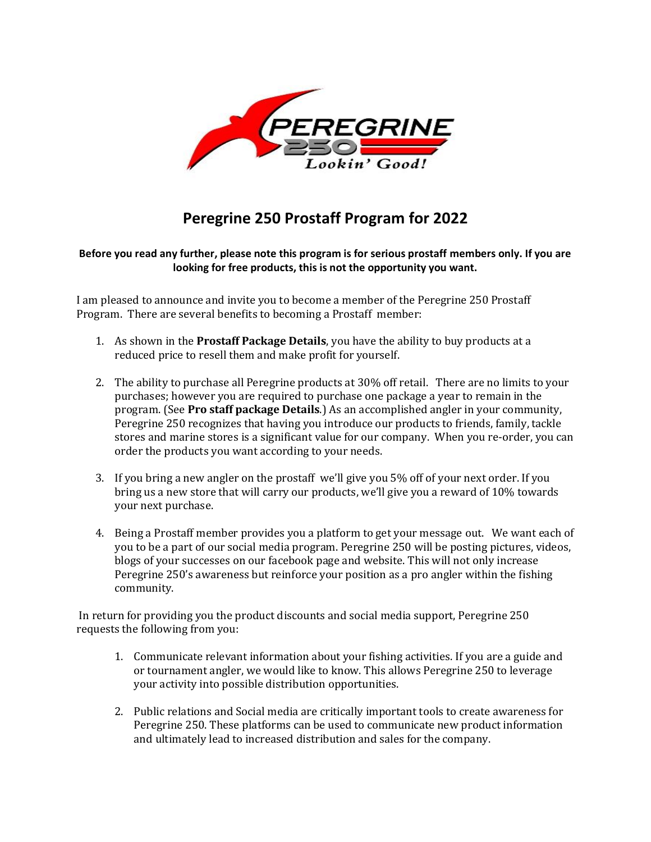

## **Peregrine 250 Prostaff Program for 2022**

### **Before you read any further, please note this program is for serious prostaff members only. If you are looking for free products, this is not the opportunity you want.**

I am pleased to announce and invite you to become a member of the Peregrine 250 Prostaff Program. There are several benefits to becoming a Prostaff member:

- 1. As shown in the **Prostaff Package Details**, you have the ability to buy products at a reduced price to resell them and make profit for yourself.
- 2. The ability to purchase all Peregrine products at 30% off retail. There are no limits to your purchases; however you are required to purchase one package a year to remain in the program. (See **Pro staff package Details**.) As an accomplished angler in your community, Peregrine 250 recognizes that having you introduce our products to friends, family, tackle stores and marine stores is a significant value for our company. When you re-order, you can order the products you want according to your needs.
- 3. If you bring a new angler on the prostaff we'll give you 5% off of your next order. If you bring us a new store that will carry our products, we'll give you a reward of 10% towards your next purchase.
- 4. Being a Prostaff member provides you a platform to get your message out. We want each of you to be a part of our social media program. Peregrine 250 will be posting pictures, videos, blogs of your successes on our facebook page and website. This will not only increase Peregrine 250's awareness but reinforce your position as a pro angler within the fishing community.

In return for providing you the product discounts and social media support, Peregrine 250 requests the following from you:

- 1. Communicate relevant information about your fishing activities. If you are a guide and or tournament angler, we would like to know. This allows Peregrine 250 to leverage your activity into possible distribution opportunities.
- 2. Public relations and Social media are critically important tools to create awareness for Peregrine 250. These platforms can be used to communicate new product information and ultimately lead to increased distribution and sales for the company.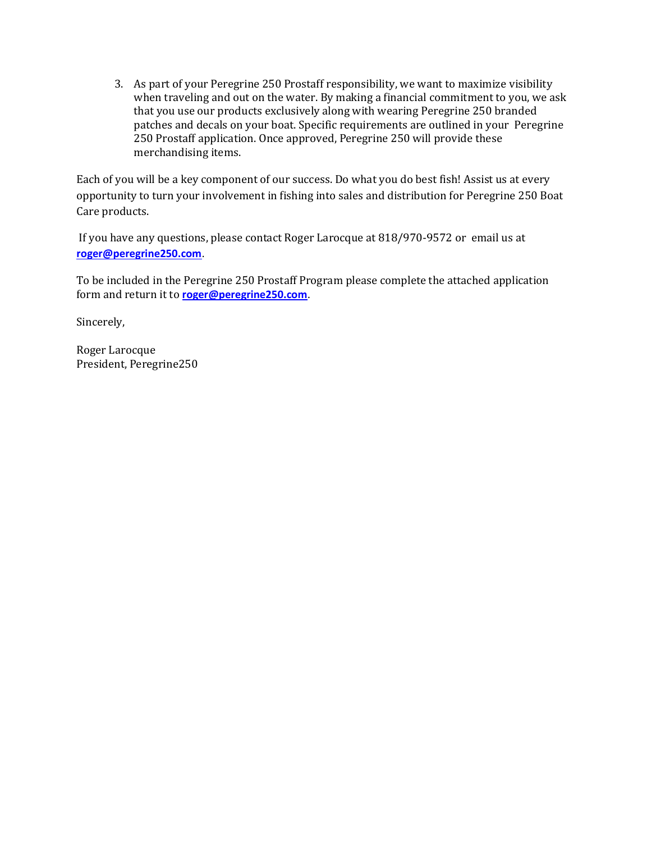3. As part of your Peregrine 250 Prostaff responsibility, we want to maximize visibility when traveling and out on the water. By making a financial commitment to you, we ask that you use our products exclusively along with wearing Peregrine 250 branded patches and decals on your boat. Specific requirements are outlined in your Peregrine 250 Prostaff application. Once approved, Peregrine 250 will provide these merchandising items.

Each of you will be a key component of our success. Do what you do best fish! Assist us at every opportunity to turn your involvement in fishing into sales and distribution for Peregrine 250 Boat Care products.

If you have any questions, please contact Roger Larocque at 818/970-9572 or email us at **[roger@peregrine250.com](mailto:roger@peregrine250.com)**.

To be included in the Peregrine 250 Prostaff Program please complete the attached application form and return it to **[roger@peregrine250.com](mailto:roger@peregrine250.com)**.

Sincerely,

Roger Larocque President, Peregrine250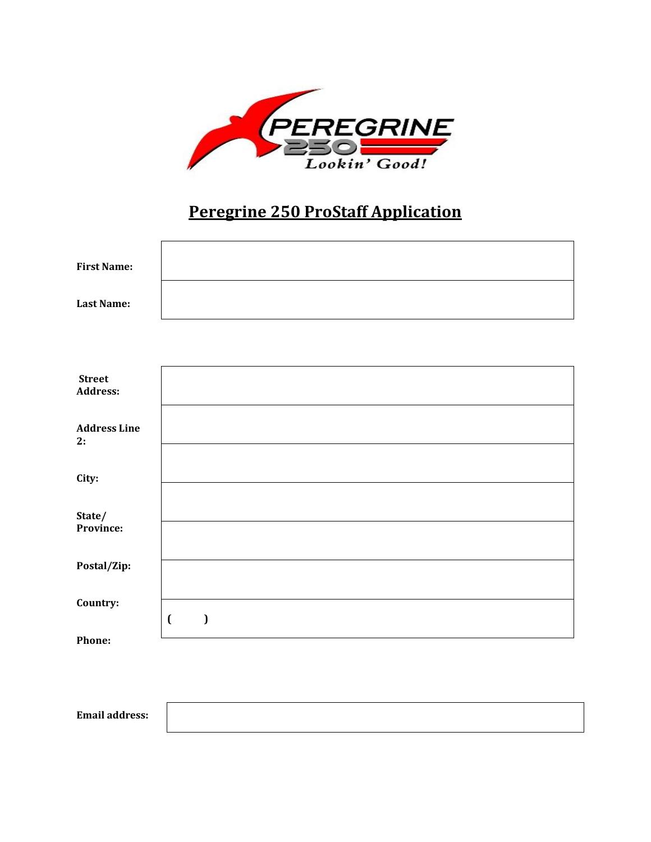

# **Peregrine 250 ProStaff Application**

| <b>First Name:</b> |  |
|--------------------|--|
| <b>Last Name:</b>  |  |

| <b>Street</b><br><b>Address:</b> |                                |
|----------------------------------|--------------------------------|
| <b>Address Line</b><br>2:        |                                |
| City:                            |                                |
| State/<br>Province:              |                                |
| Postal/Zip:                      |                                |
| Country:                         |                                |
| Phone:                           | $\overline{\mathfrak{a}}$<br>I |

**Email address:**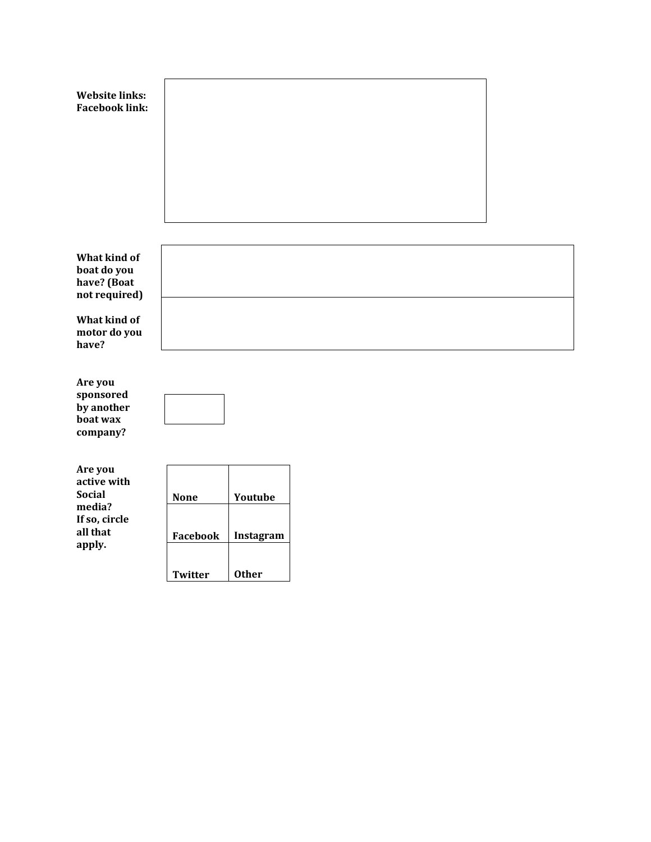| <b>Website links:</b><br><b>Facebook link:</b>                                 |                            |                           |  |
|--------------------------------------------------------------------------------|----------------------------|---------------------------|--|
| What kind of<br>boat do you<br>have? (Boat<br>not required)                    |                            |                           |  |
| What kind of<br>motor do you<br>have?                                          |                            |                           |  |
| Are you<br>sponsored<br>by another<br>boat wax<br>company?                     |                            |                           |  |
| Are you<br>active with<br><b>Social</b><br>media?<br>If so, circle<br>all that | <b>None</b>                | Youtube                   |  |
| apply.                                                                         | Facebook<br><b>Twitter</b> | Instagram<br><b>Other</b> |  |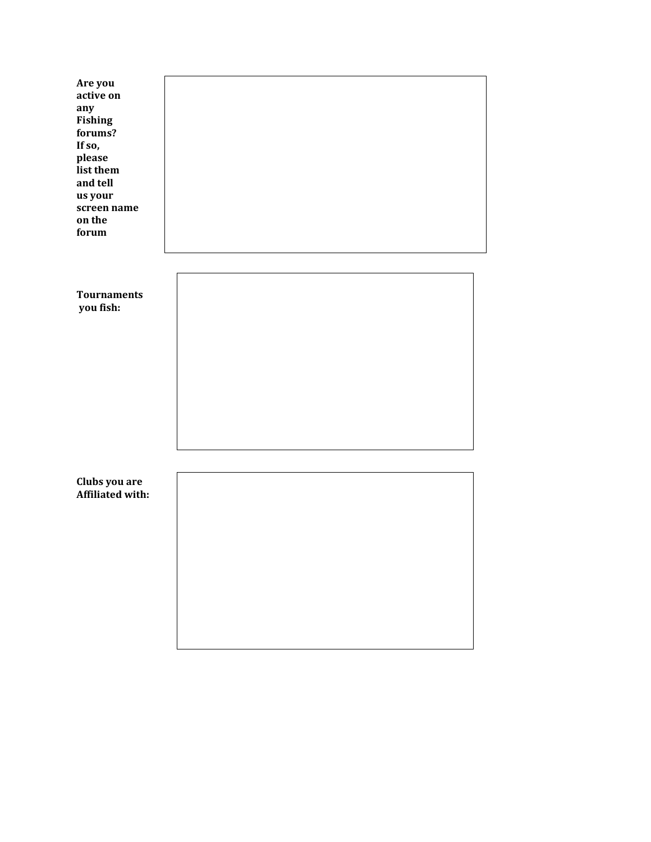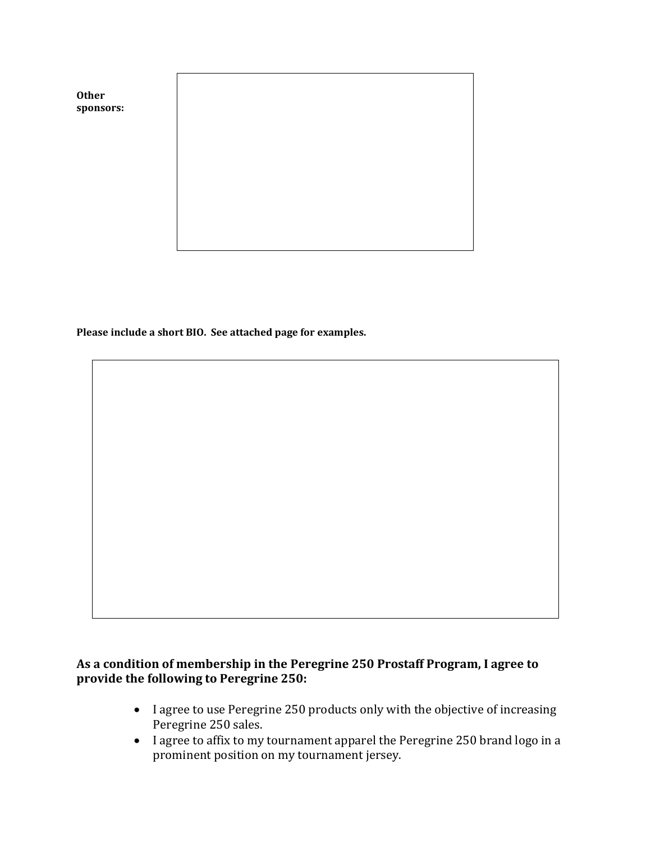

**Please include a short BIO. See attached page for examples.**

## **As a condition of membership in the Peregrine 250 Prostaff Program, I agree to provide the following to Peregrine 250:**

- I agree to use Peregrine 250 products only with the objective of increasing Peregrine 250 sales.
- I agree to affix to my tournament apparel the Peregrine 250 brand logo in a prominent position on my tournament jersey.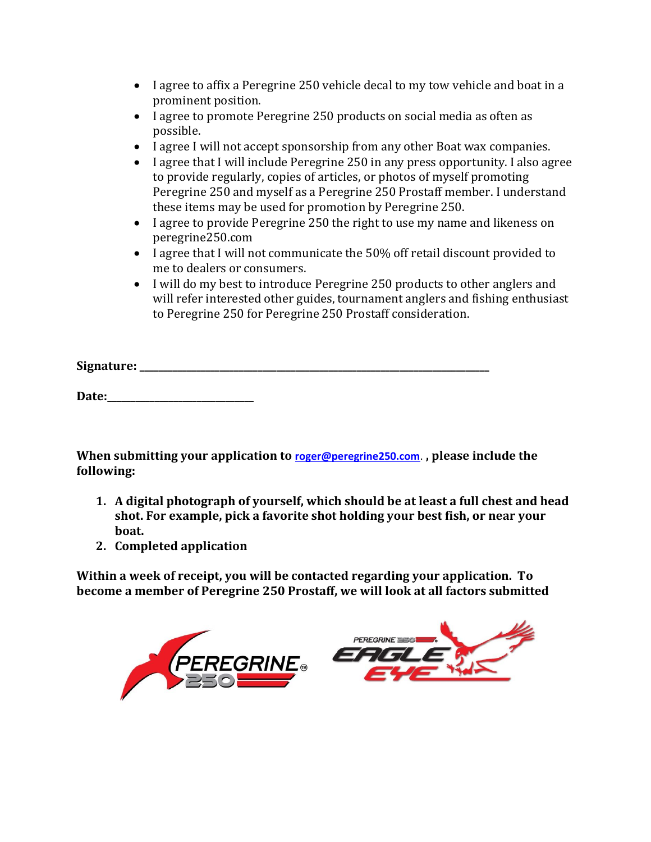- I agree to affix a Peregrine 250 vehicle decal to my tow vehicle and boat in a prominent position.
- I agree to promote Peregrine 250 products on social media as often as possible.
- I agree I will not accept sponsorship from any other Boat wax companies.
- I agree that I will include Peregrine 250 in any press opportunity. I also agree to provide regularly, copies of articles, or photos of myself promoting Peregrine 250 and myself as a Peregrine 250 Prostaff member. I understand these items may be used for promotion by Peregrine 250.
- I agree to provide Peregrine 250 the right to use my name and likeness on peregrine250.com
- I agree that I will not communicate the 50% off retail discount provided to me to dealers or consumers.
- I will do my best to introduce Peregrine 250 products to other anglers and will refer interested other guides, tournament anglers and fishing enthusiast to Peregrine 250 for Peregrine 250 Prostaff consideration.

**Signature: \_\_\_\_\_\_\_\_\_\_\_\_\_\_\_\_\_\_\_\_\_\_\_\_\_\_\_\_\_\_\_\_\_\_\_\_\_\_\_\_\_\_\_\_\_\_\_\_\_\_\_\_\_\_\_\_\_\_\_\_\_\_\_\_\_\_\_\_\_\_\_\_\_\_** 

**Date:\_\_\_\_\_\_\_\_\_\_\_\_\_\_\_\_\_\_\_\_\_\_\_\_\_\_\_\_\_\_\_**

**When submitting your application to [roger@peregrine250.com](mailto:roger@peregrine250.com)**. **, please include the following:**

- **1. A digital photograph of yourself, which should be at least a full chest and head shot. For example, pick a favorite shot holding your best fish, or near your boat.**
- **2. Completed application**

**Within a week of receipt, you will be contacted regarding your application. To become a member of Peregrine 250 Prostaff, we will look at all factors submitted**

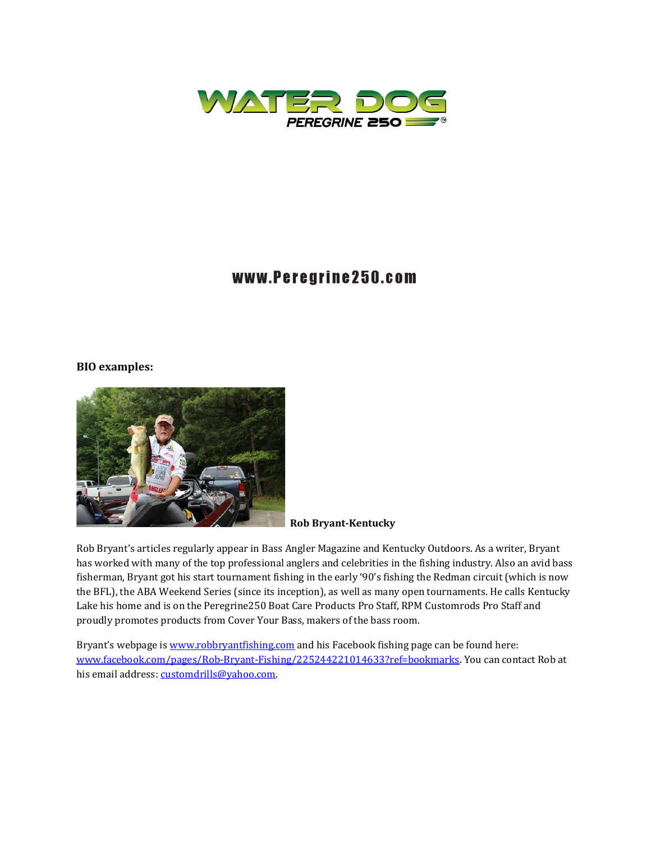

## www.Peregrine250.com

#### **BIO examples:**



#### **Rob Bryant-Kentucky**

Rob Bryant's articles regularly appear in Bass Angler Magazine and Kentucky Outdoors. As a writer, Bryant has worked with many of the top professional anglers and celebrities in the fishing industry. Also an avid bass fisherman, Bryant got his start tournament fishing in the early '90's fishing the Redman circuit (which is now the BFL), the ABA Weekend Series (since its inception), as well as many open tournaments. He calls Kentucky Lake his home and is on the Peregrine250 Boat Care Products Pro Staff, RPM Customrods Pro Staff and proudly promotes products from Cover Your Bass, makers of the bass room.

Bryant's webpage is [www.robbryantfishing.com](http://www.robbryantfishing.com/) and his Facebook fishing page can be found here: [www.facebook.com/pages/Rob-Bryant-Fishing/225244221014633?ref=bookmarks.](http://www.facebook.com/pages/Rob-Bryant-Fishing/225244221014633?ref=bookmarks) You can contact Rob at his email address: customdrills@yahoo.com.